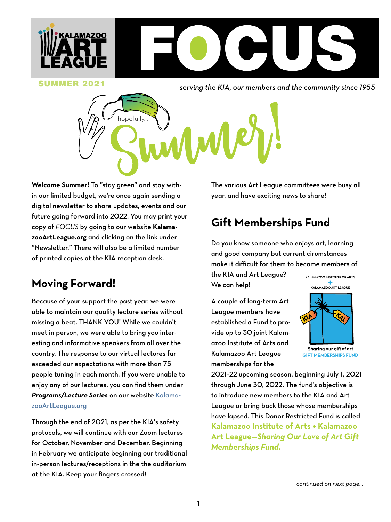

**SUMMER 2021** Serving the KIA, our members and the community since 1955



**Welcome Summer!** To "stay green" and stay within our limited budget, we're once again sending a digital newsletter to share updates, events and our future going forward into 2022. You may print your copy of *FOCUS* by going to our website **KalamazooArtLeague.org** and clicking on the link under "Newsletter." There will also be a limited number of printed copies at the KIA reception desk.

## **Moving Forward!**

Because of your support the past year, we were able to maintain our quality lecture series without missing a beat. THANK YOU! While we couldn't meet in person, we were able to bring you interesting and informative speakers from all over the country. The response to our virtual lectures far exceeded our expectations with more than 75 people tuning in each month. If you were unable to enjoy any of our lectures, you can find them under *Programs/Lecture Series* on our website [Kalama](http://kalamazooartleague.org)[zooArtLeague.org](http://kalamazooartleague.org)

Through the end of 2021, as per the KIA's safety protocols, we will continue with our Zoom lectures for October, November and December. Beginning in February we anticipate beginning our traditional in-person lectures/receptions in the the auditorium at the KIA. Keep your fingers crossed!

The various Art League committees were busy all year, and have exciting news to share!

## **Gift Memberships Fund**

Do you know someone who enjoys art, learning and good company but current cirumstances make it difficult for them to become members of

the KIA and Art League? We can help!

A couple of long-term Art League members have established a Fund to provide up to 30 joint Kalamazoo Institute of Arts and Kalamazoo Art League memberships for the



Sharing our gift of art **GIFT MEMBERSHIPS FUND**

2021–22 upcoming season, beginning July 1, 2021 through June 30, 2022. The fund's objective is to introduce new members to the KIA and Art League or bring back those whose memberships have lapsed. This Donor Restricted Fund is called **Kalamazoo Institute of Arts + Kalamazoo Art League—***Sharing Our Love of Art Gift Memberships Fund.*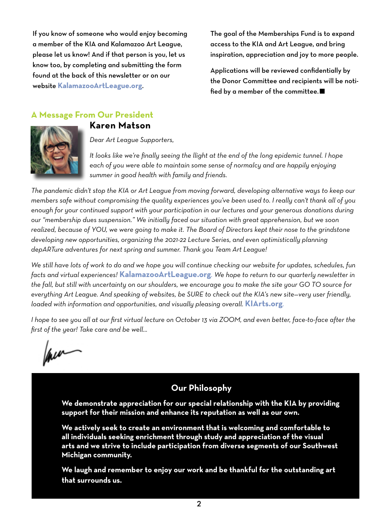If you know of someone who would enjoy becoming a member of the KIA and Kalamazoo Art League, please let us know! And if that person is you, let us know too, by completing and submitting the form found at the back of this newsletter [or](http://kalamazoartleague.org) on our website **[KalamazooArtLeague.org](http://kalamazooartleague.org)**.

The goal of the Memberships Fund is to expand access to the KIA and Art League, and bring inspiration, appreciation and joy to more people.

Applications will be reviewed confidentially by the Donor Committee and recipients will be notified by a member of the committee.

#### **A Message From Our President**





*Dear Art League Supporters,*

*It looks like we're finally seeing the llight at the end of the long epidemic tunnel. I hope*  each of you were able to maintain some sense of normalcy and are happily enjoying *summer in good health with family and friends.* 

*The pandemic didn't stop the KIA or Art League from moving forward, developing alternative ways to keep our members safe without compromising the quality experiences you've been used to. I really can't thank all of you enough for your continued support with your participation in our lectures and your generous donations during our "membership dues suspension." We initially faced our situation with great apprehension, but we soon realized, because of YOU, we were going to make it. The Board of Directors kept their nose to the grindstone developing new opportunities, organizing the 2021-22 Lecture Series, and even optimistically planning depARTure adventures for next spring and summer. Thank you Team Art League!*

*We still have lots of work to do and we hope you will continue checking our website for updates, schedules, fun facts and virtual experiences!* **[KalamazooArtLeague.org](http://kalamazooartleague)***. We hope to return to our quarterly newsletter in the fall, but still with uncertainty on our shoulders, we encourage you to make the site your GO TO source for everything Art League. And speaking of websites, be SURE to check out the KIA's new site—very user friendly, loaded with information and opportunities, and visually pleasing overall.* **[KIArts.org](http://kiarts.org)***.*

*I hope to see you all at our first virtual lecture on October 13 via ZOOM, and even better, face-to-face after the first of the year! Take care and be well...*

lau

#### **Our Philosophy**

**We demonstrate appreciation for our special relationship with the KIA by providing support for their mission and enhance its reputation as well as our own.**

**We actively seek to create an environment that is welcoming and comfortable to all individuals seeking enrichment through study and appreciation of the visual arts and we strive to include participation from diverse segments of our Southwest Michigan community.**

**We laugh and remember to enjoy our work and be thankful for the outstanding art that surrounds us.**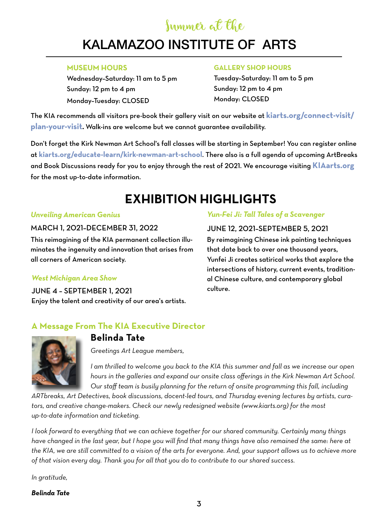# Summer at the

#### $P^{\text{LO}}$ KALAMAZOO INSTITUTE OF ARTS

#### **MUSEUM HOURS**

Wednesday–Saturday: 11 am to 5 pm Sunday: 12 pm to 4 pm Monday–Tuesday: CLOSED

#### **GALLERY SHOP HOURS**

Tuesday–Saturday: 11 am to 5 pm Sunday: 12 pm to 4 pm Monday: CLOSED

The KIA recommends all visitors pre-book their gallery visit on our website at **[kiarts.org/connect-visit/](http://kiarts.org/connect-visit/plan-your-visit) [plan-your-visit](http://kiarts.org/connect-visit/plan-your-visit).** Walk-ins are welcome but we cannot guarantee availability.

Don't forget the [Kirk Newman Art School's](http://https://kiarts.org/educate-learn/kirk-newman-art-school/) fall classes will be starting in September! You can register online at **[kiarts.org/educate-learn/kirk-newman-art-school](http://kiarts.org/educate-learn/kirk-newman-art-school)**. There also is a full agenda of upcoming ArtBreaks and Book Discussions ready for you to enjoy through the rest of 2021. We encourage visiting **KI[Aarts.org](http://kiarts.org)** for the most up-to-date information.

# **EXHIBITION HIGHLIGHTS**

#### *Unveiling American Genius*

#### MARCH 1, 2021–DECEMBER 31, 2022

This reimagining of the KIA permanent collection illuminates the ingenuity and innovation that arises from all corners of American society.

#### *West Michigan Area Show*

June 4 – September 1, 2021 Enjoy the talent and creativity of our area's artists.

#### *Yun-Fei Ji: Tall Tales of a Scavenger*

JUNE 12, 2021–SEPTEMBER 5, 2021 By reimagining Chinese ink painting techniques that date back to over one thousand years, Yunfei Ji creates satirical works that explore the intersections of history, current events, traditional Chinese culture, and contemporary global culture.

#### **A Message From The KIA Executive Director**



# **Belinda Tate**

*Greetings Art League members,*

*I am thrilled to welcome you back to the KIA this summer and fall as we increase our open hours in the galleries and expand our onsite class offerings in the Kirk Newman Art School. Our staff team is busily planning for the return of onsite programming this fall, including* 

*ARTbreaks, Art Detectives, book discussions, docent-led tours, and Thursday evening lectures by artists, curators, and creative change-makers. Check our newly redesigned website (www.kiarts.org) for the most up-to-date information and ticketing.*

*I look forward to everything that we can achieve together for our shared community. Certainly many things have changed in the last year, but I hope you will find that many things have also remained the same: here at the KIA, we are still committed to a vision of the arts for everyone. And, your support allows us to achieve more of that vision every day. Thank you for all that you do to contribute to our shared success.*

*In gratitude,*

*Belinda Tate*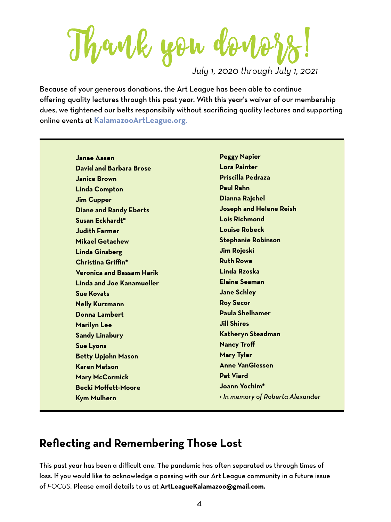Thank you donof

*July 1, 2020 through July 1, 2021*

Because of your generous donations, the Art League has been able to continue offering quality lectures through this past year. With this year's waiver of our membership dues, we tightened our belts responsibily without sacrificing quality lectures and supporting online events at **[KalamazooArtLeague.org](http://kalamazooartleague.org)**.

> **Janae Aasen David and Barbara Brose Janice Brown Linda Compton Jim Cupper Diane and Randy Eberts Susan Eckhardt\* Judith Farmer Mikael Getachew Linda Ginsberg Christina Griffin\* Veronica and Bassam Harik Linda and Joe Kanamueller Sue Kovats Nelly Kurzmann Donna Lambert Marilyn Lee Sandy Linabury Sue Lyons Betty Upjohn Mason Karen Matson Mary McCormick Becki Moffett-Moore Kym Mulhern**

**Peggy Napier Lora Painter Priscilla Pedraza Paul Rahn Dianna Rajchel Joseph and Helene Reish Lois Richmond Louise Robeck Stephanie Robinson Jim Rojeski Ruth Rowe Linda Rzoska Elaine Seaman Jane Schley Roy Secor Paula Shelhamer Jill Shires Katheryn Steadman Nancy Troff Mary Tyler Anne VanGiessen Pat Viard Joann Yochim\*** *• In memory of Roberta Alexander*

## **Reflecting and Remembering Those Lost**

This past year has been a difficult one. The pandemic has often separated us through times of loss. If you would like to acknowledge a passing with our Art League community in a future issue of *FOCUS*. Please email details to us at **ArtLeagueKalamazoo@gmail.com.**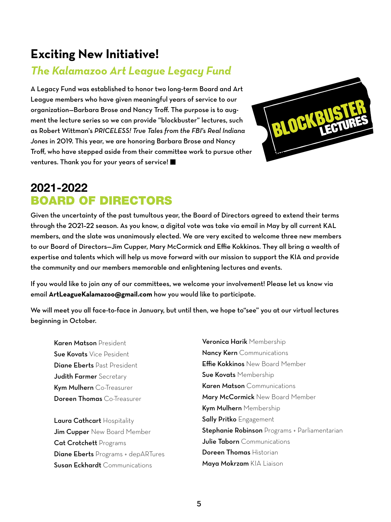## **Exciting New Initiative!**

## *The Kalamazoo Art League Legacy Fund*

A Legacy Fund was established to honor two long-term Board and Art League members who have given meaningful years of service to our organization—Barbara Brose and Nancy Troff. The purpose is to augment the lecture series so we can provide "blockbuster" lectures, such as Robert Wittman's *PRICELESS! True Tales from the FBI's Real Indiana Jones* in 2019. This year, we are honoring Barbara Brose and Nancy Troff, who have stepped aside from their committee work to pursue other ventures. Thank you for your years of service!



## 2021-2022 BOARD OF DIRECTORS

Given the uncertainty of the past tumultous year, the Board of Directors agreed to extend their terms through the 2021–22 season. As you know, a digital vote was take via email in May by all current KAL members, and the slate was unanimously elected. We are very excited to welcome three new members to our Board of Directors—Jim Cupper, Mary McCormick and Effie Kokkinos. They all bring a wealth of expertise and talents which will help us move forward with our mission to support the KIA and provide the community and our members memorable and enlightening lectures and events.

If you would like to join any of our committees, we welcome your involvement! Please let us know via email **ArtLeagueKalamazoo@gmail.com** how you would like to participate.

We will meet you all face-to-face in January, but until then, we hope to"see" you at our virtual lectures beginning in October.

Karen Matson President Sue Kovats Vice Pesident Diane Eberts Past President Judith Farmer Secretary Kym Mulhern Co-Treasurer Doreen Thomas Co-Treasurer

Laura Cathcart Hospitality **Jim Cupper** New Board Member Cat Crotchett Programs Diane Eberts Programs + depARTures Susan Eckhardt Communications

Veronica Harik Membership Nancy Kern Communications Effie Kokkinos New Board Member Sue Kovats Membership Karen Matson Communications Mary McCormick New Board Member Kym Mulhern Membership **Sally Pritko** Engagement **Stephanie Robinson** Programs + Parliamentarian **Julie Taborn** Communications Doreen Thomas Historian Maya Mokrzam KIA Liaison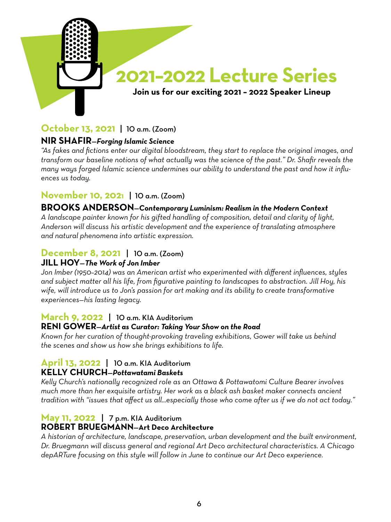

### **October 13, 2021** | 10 a.m. (Zoom)

#### **Nir Shafir**—*Forging Islamic Science*

*"As fakes and fictions enter our digital bloodstream, they start to replace the original images, and transform our baseline notions of what actually was the science of the past." Dr. Shafir reveals the many ways forged Islamic science undermines our ability to understand the past and how it influences us today.*

#### **November 10, 2021** | 10 a.m. (Zoom)

#### **Brooks Anderson**—*Contemporary Luminism: Realism in the Modern Context*

*A landscape painter known for his gifted handling of composition, detail and clarity of light, Anderson will discuss his artistic development and the experience of translating atmosphere and natural phenomena into artistic expression.*

#### **December 8, 2021** | 10 a.m. (Zoom) **Jill Hoy**—*The Work of Jon Imber*

*Jon Imber (1950–2014) was an American artist who experimented with different influences, styles and subject matter all his life, from figurative painting to landscapes to abstraction. Jill Hoy, his wife, will introduce us to Jon's passion for art making and its ability to create transformative experiences—his lasting legacy.*

#### **March 9, 2022** | 10 a.m. KIA Auditorium

#### **RENI GOWER–Artist as Curator: Taking Your Show on the Road**

*Known for her curation of thought-provoking traveling exhibitions, Gower will take us behind the scenes and show us how she brings exhibitions to life.*

#### **April 13, 2022** | 10 a.m. KIA Auditorium **Kelly Church**—*Pottawatami Baskets*

*Kelly Church's nationally recognized role as an Ottawa & Pottawatomi Culture Bearer involves much more than her exquisite artistry. Her work as a black ash basket maker connects ancient tradition with "issues that affect us all...especially those who come after us if we do not act today."*

#### **May 11, 2022** | 7 p.m. KIA Auditorium **Robert Bruegmann**—**Art Deco Architecture**

*A historian of architecture, landscape, preservation, urban development and the built environment, Dr. Bruegmann will discuss general and regional Art Deco architectural characteristics. A Chicago depARTure focusing on this style will follow in June to continue our Art Deco experience.*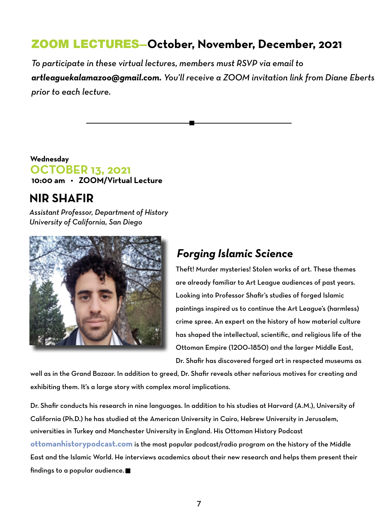## ZOOM LECTURES**—October, November, December, 2021**

*To participate in these virtual lectures, members must RSVP via email to artleaguekalamazoo@gmail.com. You'll receive a ZOOM invitation link from Diane Eberts prior to each lecture.* 

#### **10:00 am • ZOOM/Virtual Lecture Wednesday OCTOBER 13, 2021**

### **NIR SHAFIR**

*Assistant Professor, Department of History University of California, San Diego*



## *Forging Islamic Science*

Theft! Murder mysteries! Stolen works of art. These themes are already familiar to Art League audiences of past years. Looking into Professor Shafir's studies of forged Islamic paintings inspired us to continue the Art League's (harmless) crime spree. An expert on the history of how material culture has shaped the intellectual, scientific, and religious life of the Ottoman Empire (1200–1850) and the larger Middle East, Dr. Shafir has discovered forged art in respected museums as

well as in the Grand Bazaar. In addition to greed, Dr. Shafir reveals other nefarious motives for creating and exhibiting them. It's a large story with complex moral implications.

Dr. Shafir conducts his research in nine languages. In addition to his studies at Harvard (A.M.), University of California (Ph.D.) he has studied at the American University in Cairo, Hebrew University in Jerusalem, universities in Turkey and Manchester University in England. His Ottoman History Podcast **[ottomanhistorypodcast.com](http://ottomanhistorypodcast.com)** is the most popular podcast/radio program on the history of the Middle East and the Islamic World. He interviews academics about their new research and helps them present their findings to a popular audience.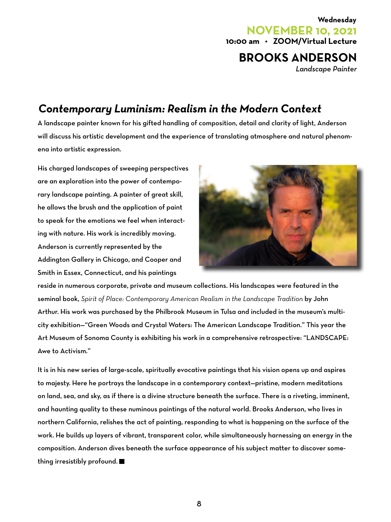### **10:00 am • ZOOM/Virtual Lecture Wednesday NOVEMBER 10, 2021 BROOKS ANDERSON**

*Landscape Painter*

## *Contemporary Luminism: Realism in the Modern Context*

A landscape painter known for his gifted handling of composition, detail and clarity of light, Anderson will discuss his artistic development and the experience of translating atmosphere and natural phenomena into artistic expression.

His charged landscapes of sweeping perspectives are an exploration into the power of contemporary landscape painting. A painter of great skill, he allows the brush and the application of paint to speak for the emotions we feel when interacting with nature. His work is incredibly moving. Anderson is currently represented by the Addington Gallery in Chicago, and Cooper and Smith in Essex, Connecticut, and his paintings



reside in numerous corporate, private and museum collections. His landscapes were featured in the seminal book, *Spirit of Place: Contemporary American Realism in the Landscape Tradition* by John Arthur. His work was purchased by the Philbrook Museum in Tulsa and included in the museum's multicity exhibition—"Green Woods and Crystal Waters: The American Landscape Tradition." This year the Art Museum of Sonoma County is exhibiting his work in a comprehensive retrospective: "LANDSCAPE: Awe to Activism."

It is in his new series of large-scale, spiritually evocative paintings that his vision opens up and aspires to majesty. Here he portrays the landscape in a contemporary context—pristine, modern meditations on land, sea, and sky, as if there is a divine structure beneath the surface. There is a riveting, imminent, and haunting quality to these numinous paintings of the natural world. Brooks Anderson, who lives in northern California, relishes the act of painting, responding to what is happening on the surface of the work. He builds up layers of vibrant, transparent color, while simultaneously harnessing an energy in the composition. Anderson dives beneath the surface appearance of his subject matter to discover something irresistibly profound.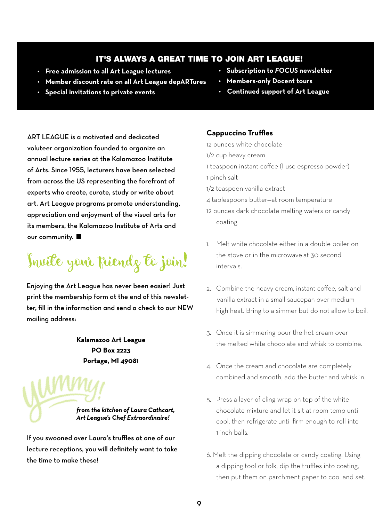#### It's always a great time to join Art League!

- **• Free admission to all Art League lectures**
- **• Subscription to** *FOCUS* **newsletter**
- **• Member discount rate on all Art League depARTures**
- **• Special invitations to private events**
- **• Members-only Docent tours**
- **Continued support of Art League**

ART LEAGUE is a motivated and dedicated voluteer organization founded to organize an annual lecture series at the Kalamazoo Institute of Arts. Since 1955, lecturers have been selected from across the US representing the forefront of experts who create, curate, study or write about art. Art League programs promote understanding, appreciation and enjoyment of the visual arts for its members, the Kalamazoo Institute of Arts and our community.

Invite your friends to join!

Enjoying the Art League has never been easier! Just print the membership form at the end of this newsletter, fill in the information and send a check to our NEW mailing address:

> **Kalamazoo Art League PO Box 2223 Portage, MI 49081**

*from the kitchen of Laura Cathcart, Art League's Chef Extraordinaire!*

If you swooned over Laura's truffles at one of our lecture receptions, you will definitely want to take the time to make these!

#### **Cappuccino Truffles**

12 ounces white chocolate

- 1/2 cup heavy cream
- 1 teaspoon instant coffee (I use espresso powder)
- 1 pinch salt
- 1/2 teaspoon vanilla extract

4 tablespoons butter—at room temperature

- 12 ounces dark chocolate melting wafers or candy coating
- 1. Melt white chocolate either in a double boiler on the stove or in the microwave at 30 second intervals.
- 2. Combine the heavy cream, instant coffee, salt and vanilla extract in a small saucepan over medium high heat. Bring to a simmer but do not allow to boil.
- 3. Once it is simmering pour the hot cream over the melted white chocolate and whisk to combine.
- 4. Once the cream and chocolate are completely combined and smooth, add the butter and whisk in.
- 5. Press a layer of cling wrap on top of the white chocolate mixture and let it sit at room temp until cool, then refrigerate until firm enough to roll into 1-inch balls.
- 6. Melt the dipping chocolate or candy coating. Using a dipping tool or folk, dip the truffles into coating, then put them on parchment paper to cool and set.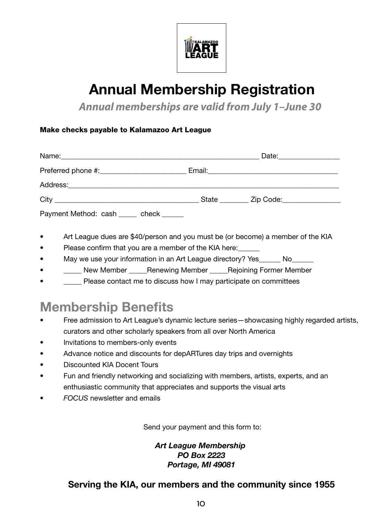

# Annual Membership Registration

*Annual memberships are valid from July 1–June 30*

#### Make checks payable to Kalamazoo Art League

|                                        | Date: $\frac{1}{2}$                                                                                             |  |
|----------------------------------------|-----------------------------------------------------------------------------------------------------------------|--|
|                                        | Email: 2008. 2009. 2010. 2010. 2010. 2010. 2010. 2010. 2010. 2010. 2011. 2012. 2014. 2016. 2017. 2017. 2017. 20 |  |
|                                        |                                                                                                                 |  |
|                                        | State __________ Zip Code:__________________                                                                    |  |
| Payment Method: cash _____ check _____ |                                                                                                                 |  |

- Art League dues are \$40/person and you must be (or become) a member of the KIA
- Please confirm that you are a member of the KIA here:
- May we use your information in an Art League directory? Yes\_\_\_\_\_\_ No\_\_\_
- **\_\_\_\_\_** New Member \_\_\_\_\_ Renewing Member \_\_\_\_\_ Rejoining Former Member
- Please contact me to discuss how I may participate on committees

# **Membership Benefits**

- Free admission to Art League's dynamic lecture series—showcasing highly regarded artists, curators and other scholarly speakers from all over North America
- Invitations to members-only events
- Advance notice and discounts for depARTures day trips and overnights
- Discounted KIA Docent Tours
- Fun and friendly networking and socializing with members, artists, experts, and an enthusiastic community that appreciates and supports the visual arts
- *FOCUS* newsletter and emails

Send your payment and this form to:

*Art League Membership PO Box 2223 Portage, MI 49081*

#### **Serving the KIA, our members and the community since 1955**